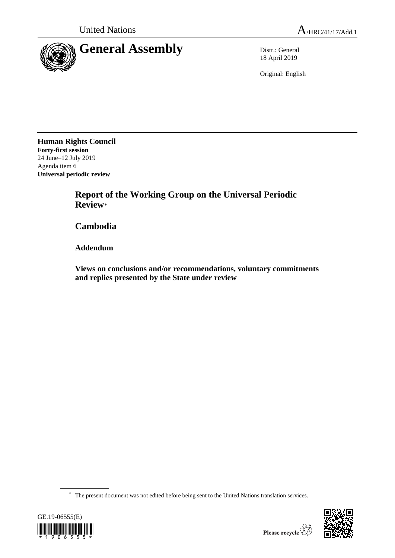

18 April 2019

Original: English

**Human Rights Council Forty-first session** 24 June–12 July 2019 Agenda item 6 **Universal periodic review**

> **Report of the Working Group on the Universal Periodic Review**\*

**Cambodia**

**Addendum**

**Views on conclusions and/or recommendations, voluntary commitments and replies presented by the State under review**

\* The present document was not edited before being sent to the United Nations translation services.



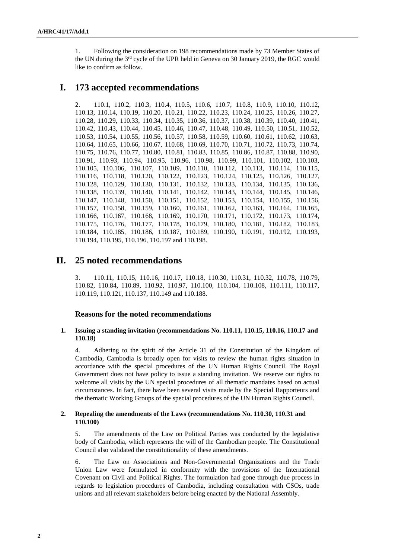1. Following the consideration on 198 recommendations made by 73 Member States of the UN during the 3<sup>rd</sup> cycle of the UPR held in Geneva on 30 January 2019, the RGC would like to confirm as follow.

# **I. 173 accepted recommendations**

2. 110.1, 110.2, 110.3, 110.4, 110.5, 110.6, 110.7, 110.8, 110.9, 110.10, 110.12, 110.13, 110.14, 110.19, 110.20, 110.21, 110.22, 110.23, 110.24, 110.25, 110.26, 110.27, 110.28, 110.29, 110.33, 110.34, 110.35, 110.36, 110.37, 110.38, 110.39, 110.40, 110.41, 110.42, 110.43, 110.44, 110.45, 110.46, 110.47, 110.48, 110.49, 110.50, 110.51, 110.52, 110.53, 110.54, 110.55, 110.56, 110.57, 110.58, 110.59, 110.60, 110.61, 110.62, 110.63, 110.64, 110.65, 110.66, 110.67, 110.68, 110.69, 110.70, 110.71, 110.72, 110.73, 110.74, 110.75, 110.76, 110.77, 110.80, 110.81, 110.83, 110.85, 110.86, 110.87, 110.88, 110.90, 110.91, 110.93, 110.94, 110.95, 110.96, 110.98, 110.99, 110.101, 110.102, 110.103, 110.105, 110.106, 110.107, 110.109, 110.110, 110.112, 110.113, 110.114, 110.115, 110.116, 110.118, 110.120, 110.122, 110.123, 110.124, 110.125, 110.126, 110.127, 110.128, 110.129, 110.130, 110.131, 110.132, 110.133, 110.134, 110.135, 110.136, 110.138, 110.139, 110.140, 110.141, 110.142, 110.143, 110.144, 110.145, 110.146, 110.147, 110.148, 110.150, 110.151, 110.152, 110.153, 110.154, 110.155, 110.156, 110.157, 110.158, 110.159, 110.160, 110.161, 110.162, 110.163, 110.164, 110.165, 110.166, 110.167, 110.168, 110.169, 110.170, 110.171, 110.172, 110.173, 110.174, 110.175, 110.176, 110.177, 110.178, 110.179, 110.180, 110.181, 110.182, 110.183, 110.184, 110.185, 110.186, 110.187, 110.189, 110.190, 110.191, 110.192, 110.193, 110.194, 110.195, 110.196, 110.197 and 110.198.

# **II. 25 noted recommendations**

3. 110.11, 110.15, 110.16, 110.17, 110.18, 110.30, 110.31, 110.32, 110.78, 110.79, 110.82, 110.84, 110.89, 110.92, 110.97, 110.100, 110.104, 110.108, 110.111, 110.117, 110.119, 110.121, 110.137, 110.149 and 110.188.

# **Reasons for the noted recommendations**

# **1. Issuing a standing invitation (recommendations No. 110.11, 110.15, 110.16, 110.17 and 110.18)**

4. Adhering to the spirit of the Article 31 of the Constitution of the Kingdom of Cambodia, Cambodia is broadly open for visits to review the human rights situation in accordance with the special procedures of the UN Human Rights Council. The Royal Government does not have policy to issue a standing invitation. We reserve our rights to welcome all visits by the UN special procedures of all thematic mandates based on actual circumstances. In fact, there have been several visits made by the Special Rapporteurs and the thematic Working Groups of the special procedures of the UN Human Rights Council.

# **2. Repealing the amendments of the Laws (recommendations No. 110.30, 110.31 and 110.100)**

5. The amendments of the Law on Political Parties was conducted by the legislative body of Cambodia, which represents the will of the Cambodian people. The Constitutional Council also validated the constitutionality of these amendments.

6. The Law on Associations and Non-Governmental Organizations and the Trade Union Law were formulated in conformity with the provisions of the International Covenant on Civil and Political Rights. The formulation had gone through due process in regards to legislation procedures of Cambodia, including consultation with CSOs, trade unions and all relevant stakeholders before being enacted by the National Assembly.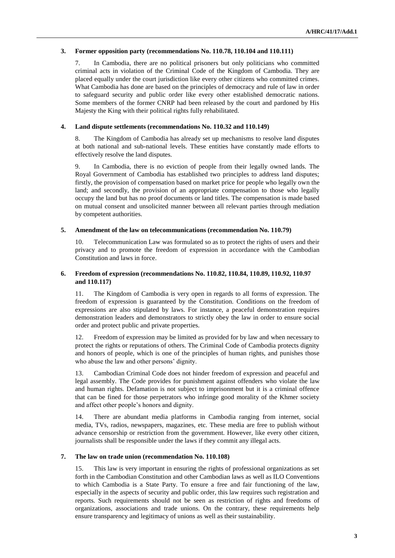# **3. Former opposition party (recommendations No. 110.78, 110.104 and 110.111)**

7. In Cambodia, there are no political prisoners but only politicians who committed criminal acts in violation of the Criminal Code of the Kingdom of Cambodia. They are placed equally under the court jurisdiction like every other citizens who committed crimes. What Cambodia has done are based on the principles of democracy and rule of law in order to safeguard security and public order like every other established democratic nations. Some members of the former CNRP had been released by the court and pardoned by His Majesty the King with their political rights fully rehabilitated.

### **4. Land dispute settlements (recommendations No. 110.32 and 110.149)**

8. The Kingdom of Cambodia has already set up mechanisms to resolve land disputes at both national and sub-national levels. These entities have constantly made efforts to effectively resolve the land disputes.

9. In Cambodia, there is no eviction of people from their legally owned lands. The Royal Government of Cambodia has established two principles to address land disputes; firstly, the provision of compensation based on market price for people who legally own the land; and secondly, the provision of an appropriate compensation to those who legally occupy the land but has no proof documents or land titles. The compensation is made based on mutual consent and unsolicited manner between all relevant parties through mediation by competent authorities.

#### **5. Amendment of the law on telecommunications (recommendation No. 110.79)**

10. Telecommunication Law was formulated so as to protect the rights of users and their privacy and to promote the freedom of expression in accordance with the Cambodian Constitution and laws in force.

# **6. Freedom of expression (recommendations No. 110.82, 110.84, 110.89, 110.92, 110.97 and 110.117)**

11. The Kingdom of Cambodia is very open in regards to all forms of expression. The freedom of expression is guaranteed by the Constitution. Conditions on the freedom of expressions are also stipulated by laws. For instance, a peaceful demonstration requires demonstration leaders and demonstrators to strictly obey the law in order to ensure social order and protect public and private properties.

12. Freedom of expression may be limited as provided for by law and when necessary to protect the rights or reputations of others. The Criminal Code of Cambodia protects dignity and honors of people, which is one of the principles of human rights, and punishes those who abuse the law and other persons' dignity.

13. Cambodian Criminal Code does not hinder freedom of expression and peaceful and legal assembly. The Code provides for punishment against offenders who violate the law and human rights. Defamation is not subject to imprisonment but it is a criminal offence that can be fined for those perpetrators who infringe good morality of the Khmer society and affect other people's honors and dignity.

14. There are abundant media platforms in Cambodia ranging from internet, social media, TVs, radios, newspapers, magazines, etc. These media are free to publish without advance censorship or restriction from the government. However, like every other citizen, journalists shall be responsible under the laws if they commit any illegal acts.

# **7. The law on trade union (recommendation No. 110.108)**

15. This law is very important in ensuring the rights of professional organizations as set forth in the Cambodian Constitution and other Cambodian laws as well as ILO Conventions to which Cambodia is a State Party. To ensure a free and fair functioning of the law, especially in the aspects of security and public order, this law requires such registration and reports. Such requirements should not be seen as restriction of rights and freedoms of organizations, associations and trade unions. On the contrary, these requirements help ensure transparency and legitimacy of unions as well as their sustainability.